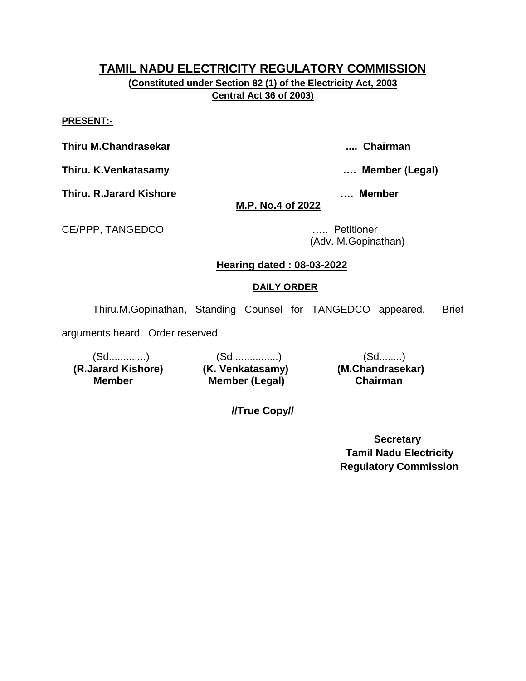**(Constituted under Section 82 (1) of the Electricity Act, 2003 Central Act 36 of 2003)**

#### **PRESENT:-**

**Thiru M.Chandrasekar .... Chairman**

**Thiru. K.Venkatasamy …. Member (Legal)**

**Thiru. R.Jarard Kishore …. Member** 

# **M.P. No.4 of 2022**

CE/PPP, TANGEDCO ….. Petitioner

(Adv. M.Gopinathan)

# **Hearing dated : 08-03-2022**

# **DAILY ORDER**

Thiru.M.Gopinathan, Standing Counsel for TANGEDCO appeared. Brief

arguments heard. Order reserved.

 **(R.Jarard Kishore) (K. Venkatasamy) (M.Chandrasekar) Member** 

(Sd.............) (Sd................) (Sd........) **Member (Legal) Chairman** 

**//True Copy//**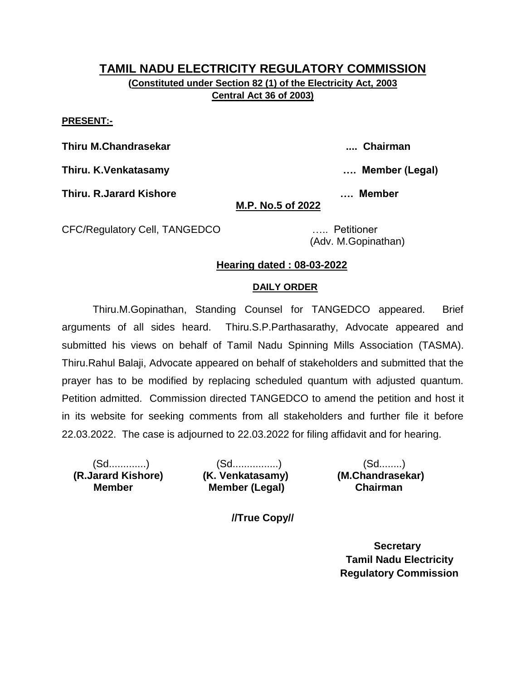# **TAMIL NADU ELECTRICITY REGULATORY COMMISSION (Constituted under Section 82 (1) of the Electricity Act, 2003 Central Act 36 of 2003)**

#### **PRESENT:-**

**Thiru M.Chandrasekar .... Chairman**

**Thiru. K.Venkatasamy …. Member (Legal)**

**Thiru. R.Jarard Kishore …. Member** 

**M.P. No.5 of 2022**

CFC/Regulatory Cell, TANGEDCO ….. Petitioner

(Adv. M.Gopinathan)

### **Hearing dated : 08-03-2022**

#### **DAILY ORDER**

Thiru.M.Gopinathan, Standing Counsel for TANGEDCO appeared. Brief arguments of all sides heard. Thiru.S.P.Parthasarathy, Advocate appeared and submitted his views on behalf of Tamil Nadu Spinning Mills Association (TASMA). Thiru.Rahul Balaji, Advocate appeared on behalf of stakeholders and submitted that the prayer has to be modified by replacing scheduled quantum with adjusted quantum. Petition admitted. Commission directed TANGEDCO to amend the petition and host it in its website for seeking comments from all stakeholders and further file it before 22.03.2022. The case is adjourned to 22.03.2022 for filing affidavit and for hearing.

 **(R.Jarard Kishore) (K. Venkatasamy) (M.Chandrasekar) Member** 

(Sd.............) (Sd................) (Sd........) **Member (Legal) Chairman** 

**//True Copy//**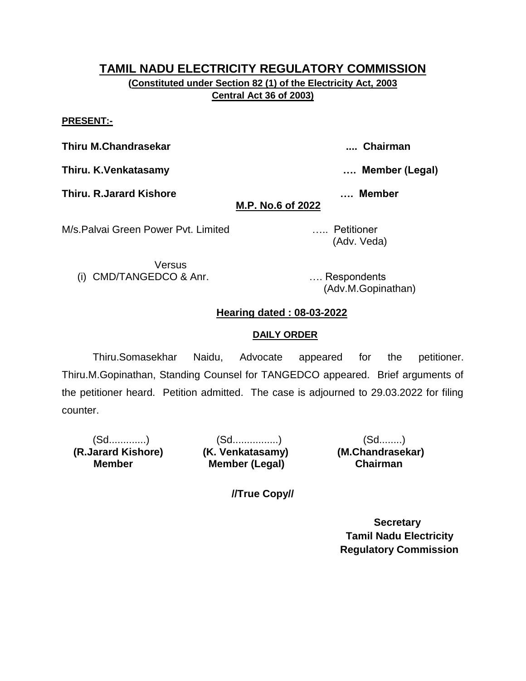**(Constituted under Section 82 (1) of the Electricity Act, 2003 Central Act 36 of 2003)**

#### **PRESENT:-**

**Thiru M.Chandrasekar .... Chairman**

**Thiru. K.Venkatasamy …. Member (Legal)**

**Thiru. R.Jarard Kishore …. Member** 

**M.P. No.6 of 2022**

M/s.Palvai Green Power Pvt. Limited ….. Petitioner

Versus (i) CMD/TANGEDCO & Anr. …. Respondents

(Adv.M.Gopinathan)

(Adv. Veda)

## **Hearing dated : 08-03-2022**

#### **DAILY ORDER**

Thiru.Somasekhar Naidu, Advocate appeared for the petitioner. Thiru.M.Gopinathan, Standing Counsel for TANGEDCO appeared. Brief arguments of the petitioner heard. Petition admitted. The case is adjourned to 29.03.2022 for filing counter.

 **(R.Jarard Kishore) (K. Venkatasamy) (M.Chandrasekar) Member** 

(Sd.............) (Sd................) (Sd........) **Member (Legal) Chairman** 

**//True Copy//**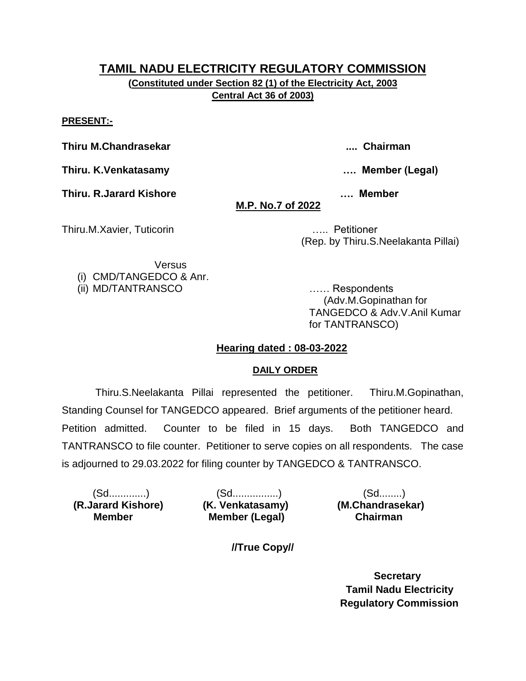**(Constituted under Section 82 (1) of the Electricity Act, 2003 Central Act 36 of 2003)**

#### **PRESENT:-**

**Thiru M.Chandrasekar .... Chairman**

**Thiru. K.Venkatasamy …. Member (Legal)**

**Thiru. R.Jarard Kishore …. Member** 

# **M.P. No.7 of 2022**

Thiru.M.Xavier, Tuticorin ….. Petitioner

(Rep. by Thiru.S.Neelakanta Pillai)

Versus (i) CMD/TANGEDCO & Anr.

(ii) MD/TANTRANSCO …… Respondents

 (Adv.M.Gopinathan for TANGEDCO & Adv.V.Anil Kumar for TANTRANSCO)

## **Hearing dated : 08-03-2022**

### **DAILY ORDER**

Thiru.S.Neelakanta Pillai represented the petitioner. Thiru.M.Gopinathan, Standing Counsel for TANGEDCO appeared. Brief arguments of the petitioner heard. Petition admitted. Counter to be filed in 15 days. Both TANGEDCO and TANTRANSCO to file counter. Petitioner to serve copies on all respondents. The case is adjourned to 29.03.2022 for filing counter by TANGEDCO & TANTRANSCO.

 **(R.Jarard Kishore) (K. Venkatasamy) (M.Chandrasekar) Member** 

(Sd.............) (Sd................) (Sd........) **Member (Legal) Chairman** 

**//True Copy//**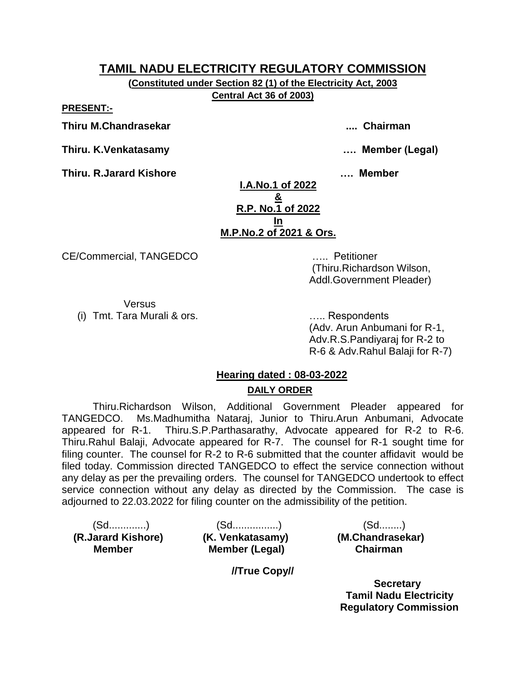**(Constituted under Section 82 (1) of the Electricity Act, 2003 Central Act 36 of 2003)**

**PRESENT:-**

**Thiru M.Chandrasekar .... Chairman**

**Thiru. K.Venkatasamy …. Member (Legal)**

**Thiru. R.Jarard Kishore …. Member** 

**I.A.No.1 of 2022 & R.P. No.1 of 2022 In M.P.No.2 of 2021 & Ors.**

CE/Commercial, TANGEDCO ….. Petitioner

(Thiru.Richardson Wilson, Addl.Government Pleader)

Versus (i) Tmt. Tara Murali & ors. ….. Respondents

(Adv. Arun Anbumani for R-1, Adv.R.S.Pandiyaraj for R-2 to R-6 & Adv.Rahul Balaji for R-7)

# **Hearing dated : 08-03-2022 DAILY ORDER**

Thiru.Richardson Wilson, Additional Government Pleader appeared for TANGEDCO. Ms.Madhumitha Nataraj, Junior to Thiru.Arun Anbumani, Advocate appeared for R-1. Thiru.S.P.Parthasarathy, Advocate appeared for R-2 to R-6. Thiru.Rahul Balaji, Advocate appeared for R-7. The counsel for R-1 sought time for filing counter. The counsel for R-2 to R-6 submitted that the counter affidavit would be filed today. Commission directed TANGEDCO to effect the service connection without any delay as per the prevailing orders. The counsel for TANGEDCO undertook to effect service connection without any delay as directed by the Commission. The case is adjourned to 22.03.2022 for filing counter on the admissibility of the petition.

 **(R.Jarard Kishore) (K. Venkatasamy) (M.Chandrasekar) Member** 

(Sd.............) (Sd................) (Sd........) **Member (Legal) Chairman** 

**//True Copy//**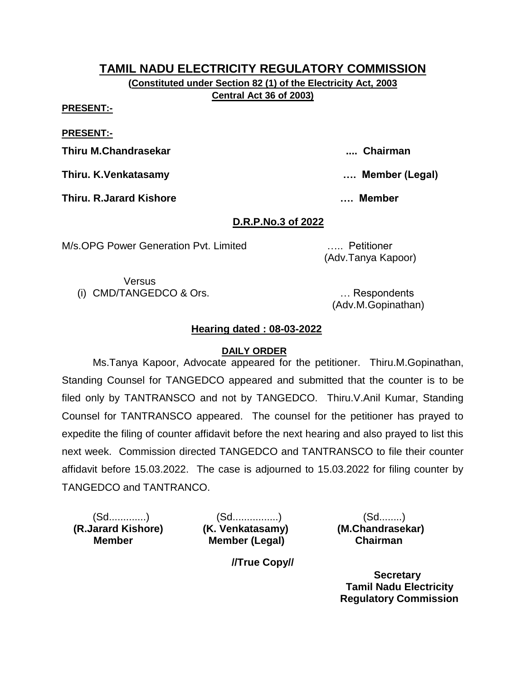**(Constituted under Section 82 (1) of the Electricity Act, 2003 Central Act 36 of 2003)**

**PRESENT:-**

**PRESENT:-**

**Thiru M.Chandrasekar .... Chairman**

**Thiru. K.Venkatasamy …. Member (Legal)**

**Thiru. R.Jarard Kishore …. Member** 

**D.R.P.No.3 of 2022**

M/s.OPG Power Generation Pvt. Limited ….. Petitioner

(Adv.Tanya Kapoor)

Versus (i) CMD/TANGEDCO & Ors. … Respondents

(Adv.M.Gopinathan)

# **Hearing dated : 08-03-2022**

## **DAILY ORDER**

Ms.Tanya Kapoor, Advocate appeared for the petitioner. Thiru.M.Gopinathan, Standing Counsel for TANGEDCO appeared and submitted that the counter is to be filed only by TANTRANSCO and not by TANGEDCO. Thiru.V.Anil Kumar, Standing Counsel for TANTRANSCO appeared. The counsel for the petitioner has prayed to expedite the filing of counter affidavit before the next hearing and also prayed to list this next week. Commission directed TANGEDCO and TANTRANSCO to file their counter affidavit before 15.03.2022. The case is adjourned to 15.03.2022 for filing counter by TANGEDCO and TANTRANCO.

 **(R.Jarard Kishore) (K. Venkatasamy) (M.Chandrasekar) Member** 

(Sd.............) (Sd................) (Sd........) **Member (Legal) Chairman** 

**//True Copy//**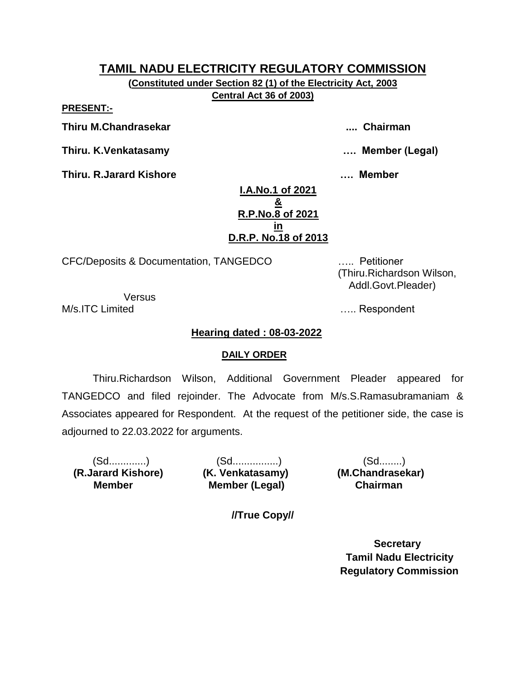**(Constituted under Section 82 (1) of the Electricity Act, 2003 Central Act 36 of 2003)**

**PRESENT:-**

**Thiru M.Chandrasekar .... Chairman**

**Thiru. K.Venkatasamy …. Member (Legal)**

**Thiru. R.Jarard Kishore …. Member** 

**I.A.No.1 of 2021 & R.P.No.8 of 2021 in D.R.P. No.18 of 2013**

CFC/Deposits & Documentation, TANGEDCO ….. Petitioner

Versus

# **Hearing dated : 08-03-2022**

### **DAILY ORDER**

Thiru.Richardson Wilson, Additional Government Pleader appeared for TANGEDCO and filed rejoinder. The Advocate from M/s.S.Ramasubramaniam & Associates appeared for Respondent. At the request of the petitioner side, the case is adjourned to 22.03.2022 for arguments.

 **(R.Jarard Kishore) (K. Venkatasamy) (M.Chandrasekar) Member** 

(Sd.............) (Sd................) (Sd........) **Member (Legal) Chairman** 

**//True Copy//**

 **Secretary Tamil Nadu Electricity Regulatory Commission**

 (Thiru.Richardson Wilson, Addl.Govt.Pleader)

M/s.ITC Limited **M/s.ITC** Limited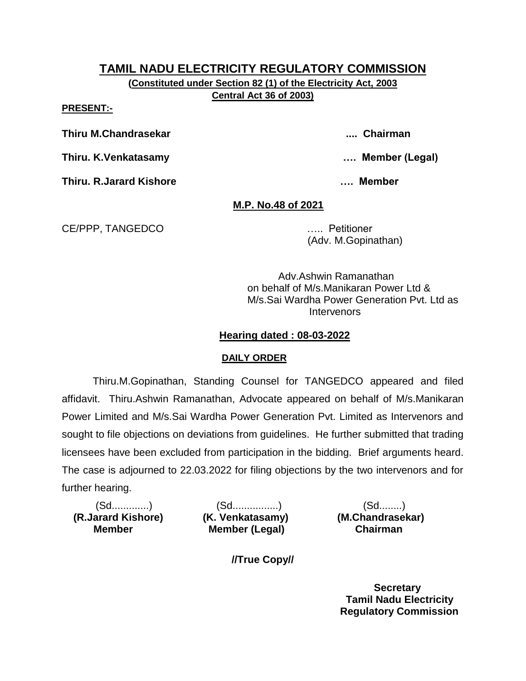**(Constituted under Section 82 (1) of the Electricity Act, 2003 Central Act 36 of 2003)**

**PRESENT:-**

**Thiru M.Chandrasekar .... Chairman**

**Thiru. K.Venkatasamy …. Member (Legal)**

**Thiru. R.Jarard Kishore …. Member** 

## **M.P. No.48 of 2021**

CE/PPP, TANGEDCO ….. Petitioner

(Adv. M.Gopinathan)

Adv.Ashwin Ramanathan on behalf of M/s.Manikaran Power Ltd & M/s.Sai Wardha Power Generation Pvt. Ltd as **Intervenors** 

## **Hearing dated : 08-03-2022**

## **DAILY ORDER**

Thiru.M.Gopinathan, Standing Counsel for TANGEDCO appeared and filed affidavit. Thiru.Ashwin Ramanathan, Advocate appeared on behalf of M/s.Manikaran Power Limited and M/s.Sai Wardha Power Generation Pvt. Limited as Intervenors and sought to file objections on deviations from guidelines. He further submitted that trading licensees have been excluded from participation in the bidding. Brief arguments heard. The case is adjourned to 22.03.2022 for filing objections by the two intervenors and for further hearing.

 **(R.Jarard Kishore) (K. Venkatasamy) (M.Chandrasekar) Member** 

(Sd.............) (Sd................) (Sd........) **Member (Legal) Chairman** 

**//True Copy//**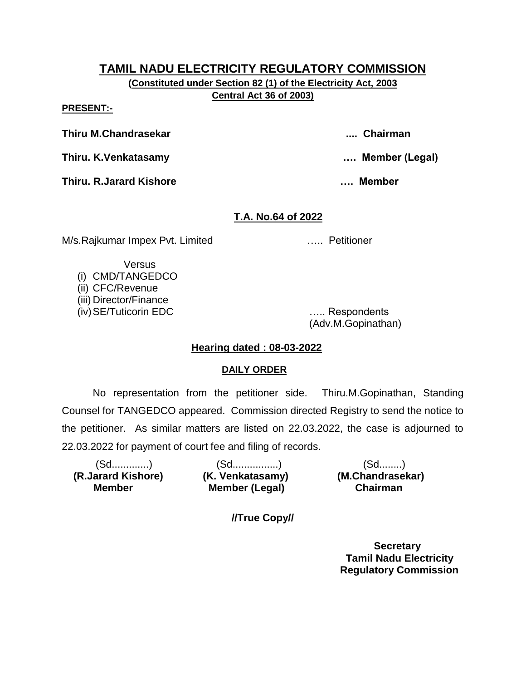**(Constituted under Section 82 (1) of the Electricity Act, 2003 Central Act 36 of 2003)**

#### **PRESENT:-**

**Thiru M.Chandrasekar .... Chairman**

**Thiru. K.Venkatasamy …. Member (Legal)**

**Thiru. R.Jarard Kishore …. Member** 

## **T.A. No.64 of 2022**

M/s.Rajkumar Impex Pvt. Limited ….. Petitioner

Versus

(i) CMD/TANGEDCO (ii) CFC/Revenue (iii) Director/Finance (iv)SE/Tuticorin EDC ….. Respondents

(Adv.M.Gopinathan)

## **Hearing dated : 08-03-2022**

### **DAILY ORDER**

No representation from the petitioner side. Thiru.M.Gopinathan, Standing Counsel for TANGEDCO appeared. Commission directed Registry to send the notice to the petitioner. As similar matters are listed on 22.03.2022, the case is adjourned to 22.03.2022 for payment of court fee and filing of records.

| (Sd…………)           | (Sd.……………)            | $(Sd$            |
|--------------------|-----------------------|------------------|
| (R.Jarard Kishore) | (K. Venkatasamy)      | (M.Chandrasekar) |
| <b>Member</b>      | <b>Member (Legal)</b> | <b>Chairman</b>  |

**//True Copy//**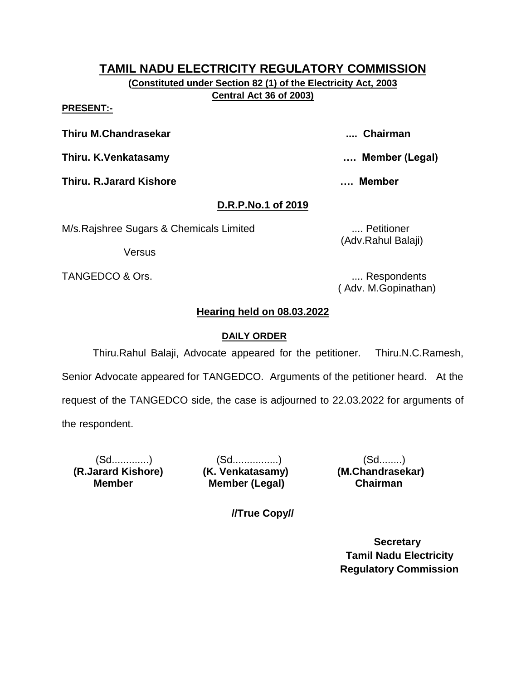**(Constituted under Section 82 (1) of the Electricity Act, 2003 Central Act 36 of 2003)**

#### **PRESENT:-**

**Thiru M.Chandrasekar .... Chairman**

**Thiru. K.Venkatasamy …. Member (Legal)**

**Thiru. R.Jarard Kishore …. Member** 

# **D.R.P.No.1 of 2019**

M/s.Rajshree Sugars & Chemicals Limited .... Petitioner

Versus

TANGEDCO & Ors.  $\qquad \qquad \ldots$  Respondents

(Adv.Rahul Balaji)

( Adv. M.Gopinathan)

# **Hearing held on 08.03.2022**

# **DAILY ORDER**

Thiru.Rahul Balaji, Advocate appeared for the petitioner. Thiru.N.C.Ramesh, Senior Advocate appeared for TANGEDCO. Arguments of the petitioner heard. At the request of the TANGEDCO side, the case is adjourned to 22.03.2022 for arguments of the respondent.

 **(R.Jarard Kishore) (K. Venkatasamy) (M.Chandrasekar) Member** 

(Sd.............) (Sd................) (Sd........) **Member (Legal) Chairman** 

**//True Copy//**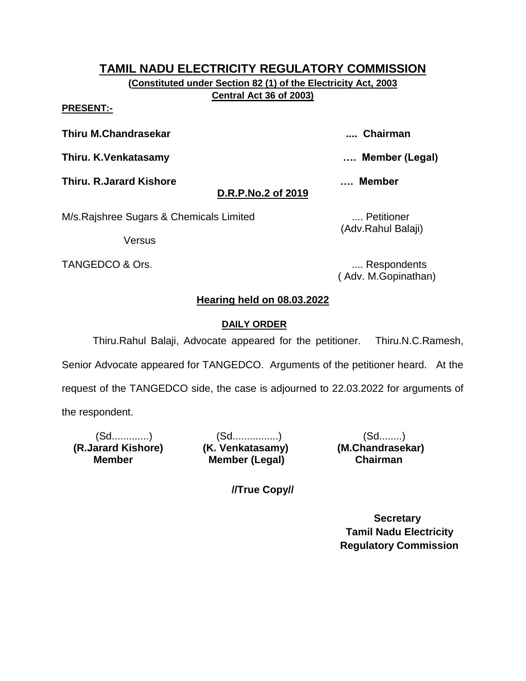**(Constituted under Section 82 (1) of the Electricity Act, 2003 Central Act 36 of 2003)**

#### **PRESENT:-**

**Thiru M.Chandrasekar .... Chairman**

**Thiru. K.Venkatasamy …. Member (Legal)**

**Thiru. R.Jarard Kishore …. Member** 

# **D.R.P.No.2 of 2019**

M/s.Rajshree Sugars & Chemicals Limited .... Petitioner

Versus

TANGEDCO & Ors. **..... 2008** TANGEDCO & Ors.

(Adv.Rahul Balaji)

( Adv. M.Gopinathan)

# **Hearing held on 08.03.2022**

## **DAILY ORDER**

Thiru.Rahul Balaji, Advocate appeared for the petitioner. Thiru.N.C.Ramesh, Senior Advocate appeared for TANGEDCO. Arguments of the petitioner heard. At the request of the TANGEDCO side, the case is adjourned to 22.03.2022 for arguments of the respondent.

 **(R.Jarard Kishore) (K. Venkatasamy) (M.Chandrasekar) Member** 

(Sd.............) (Sd................) (Sd........) **Member (Legal) Chairman** 

**//True Copy//**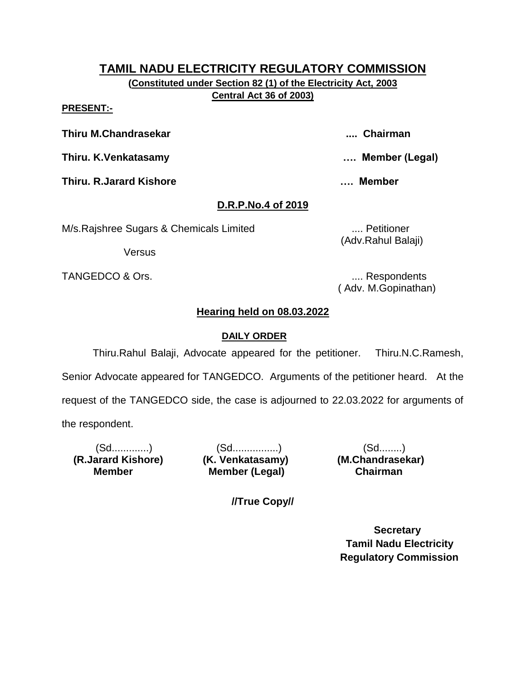**(Constituted under Section 82 (1) of the Electricity Act, 2003 Central Act 36 of 2003)**

#### **PRESENT:-**

**Thiru M.Chandrasekar .... Chairman**

**Thiru. K.Venkatasamy …. Member (Legal)**

**Thiru. R.Jarard Kishore …. Member** 

# **D.R.P.No.4 of 2019**

M/s.Rajshree Sugars & Chemicals Limited .... Petitioner

Versus

TANGEDCO & Ors. .... Respondents

(Adv.Rahul Balaji)

( Adv. M.Gopinathan)

# **Hearing held on 08.03.2022**

# **DAILY ORDER**

Thiru.Rahul Balaji, Advocate appeared for the petitioner. Thiru.N.C.Ramesh, Senior Advocate appeared for TANGEDCO. Arguments of the petitioner heard. At the request of the TANGEDCO side, the case is adjourned to 22.03.2022 for arguments of the respondent.

 **(R.Jarard Kishore) (K. Venkatasamy) (M.Chandrasekar) Member** 

(Sd.............) (Sd................) (Sd........) **Member (Legal) Chairman** 

**//True Copy//**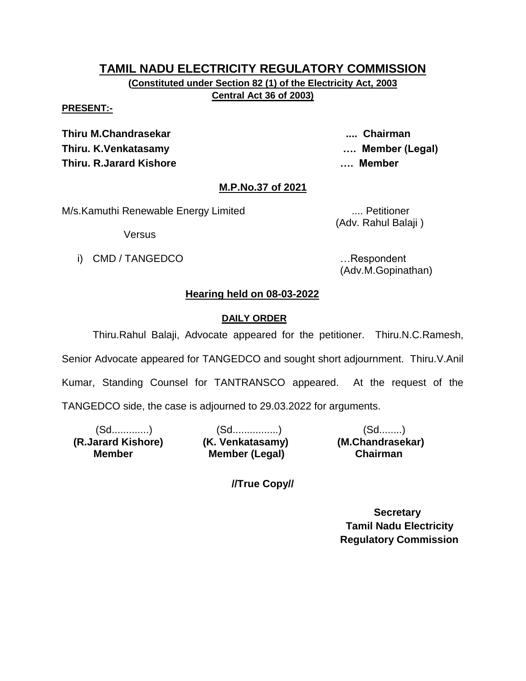**(Constituted under Section 82 (1) of the Electricity Act, 2003 Central Act 36 of 2003)**

#### **PRESENT:-**

**Thiru M.Chandrasekar .... Chairman Thiru. K.Venkatasamy …. Member (Legal) Thiru. R.Jarard Kishore …. Member** 

### **M.P.No.37 of 2021**

M/s.Kamuthi Renewable Energy Limited .... Petitioner

(Adv. Rahul Balaji )

Versus

i) CMD / TANGEDCO **in the set of the set of the set of the set of the set of the set of the set of the set of the set of the set of the set of the set of the set of the set of the set of the set of the set of the set of th** 

(Adv.M.Gopinathan)

### **Hearing held on 08-03-2022**

### **DAILY ORDER**

Thiru.Rahul Balaji, Advocate appeared for the petitioner. Thiru.N.C.Ramesh, Senior Advocate appeared for TANGEDCO and sought short adjournment. Thiru.V.Anil Kumar, Standing Counsel for TANTRANSCO appeared. At the request of the

TANGEDCO side, the case is adjourned to 29.03.2022 for arguments.

 **(R.Jarard Kishore) (K. Venkatasamy) (M.Chandrasekar) Member** 

(Sd.............) (Sd................) (Sd........) **Member (Legal) Chairman** 

**//True Copy//**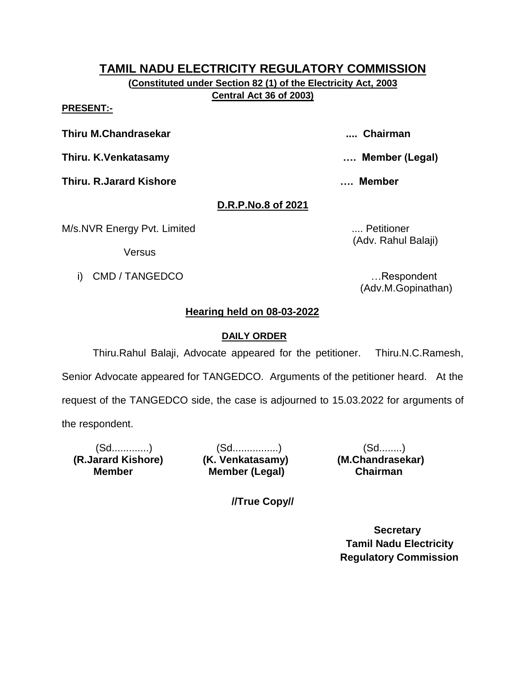**(Constituted under Section 82 (1) of the Electricity Act, 2003 Central Act 36 of 2003)**

#### **PRESENT:-**

**Thiru M.Chandrasekar .... Chairman**

**Thiru. K.Venkatasamy …. Member (Legal)**

**Thiru. R.Jarard Kishore …. Member** 

**D.R.P.No.8 of 2021**

M/s.NVR Energy Pvt. Limited ..... **MILES 2008** .... Petitioner

**Versus** 

i) CMD / TANGEDCO **in the set of the set of the set of the set of the set of the set of the set of the set of the set of the set of the set of the set of the set of the set of the set of the set of the set of the set of th** 

(Adv. Rahul Balaji)

(Adv.M.Gopinathan)

# **Hearing held on 08-03-2022**

## **DAILY ORDER**

Thiru.Rahul Balaji, Advocate appeared for the petitioner. Thiru.N.C.Ramesh, Senior Advocate appeared for TANGEDCO. Arguments of the petitioner heard. At the request of the TANGEDCO side, the case is adjourned to 15.03.2022 for arguments of the respondent.

 **(R.Jarard Kishore) (K. Venkatasamy) (M.Chandrasekar) Member** 

(Sd.............) (Sd................) (Sd........) **Member (Legal) Chairman** 

**//True Copy//**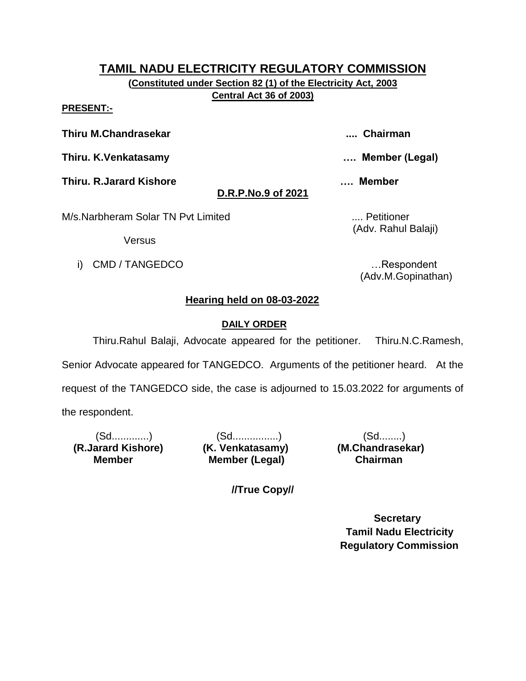**(Constituted under Section 82 (1) of the Electricity Act, 2003 Central Act 36 of 2003)**

**PRESENT:-**

**Thiru M.Chandrasekar .... Chairman**

**Thiru. K.Venkatasamy …. Member (Legal)**

**Thiru. R.Jarard Kishore …. Member** 

# **D.R.P.No.9 of 2021**

M/s.Narbheram Solar TN Pvt Limited .... Petitioner

(Adv. Rahul Balaji)

Versus

i) CMD / TANGEDCO **i** and the set of the set of the set of the set of the set of the set of the set of the set of the set of the set of the set of the set of the set of the set of the set of the set of the set of the set o

(Adv.M.Gopinathan)

# **Hearing held on 08-03-2022**

# **DAILY ORDER**

Thiru.Rahul Balaji, Advocate appeared for the petitioner. Thiru.N.C.Ramesh, Senior Advocate appeared for TANGEDCO. Arguments of the petitioner heard. At the request of the TANGEDCO side, the case is adjourned to 15.03.2022 for arguments of the respondent.

 **(R.Jarard Kishore) (K. Venkatasamy) (M.Chandrasekar) Member** 

(Sd.............) (Sd................) (Sd........) **Member (Legal) Chairman** 

**//True Copy//**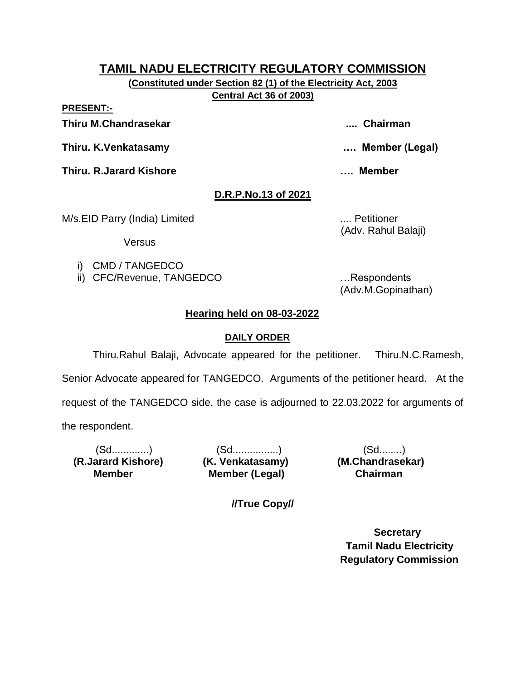**(Constituted under Section 82 (1) of the Electricity Act, 2003 Central Act 36 of 2003)**

**PRESENT:-**

**Thiru M.Chandrasekar .... Chairman**

**Thiru. K.Venkatasamy …. Member (Legal)**

**Thiru. R.Jarard Kishore …. Member** 

# **D.R.P.No.13 of 2021**

M/s.EID Parry (India) Limited .... Petitioner

(Adv. Rahul Balaji)

Versus

- i) CMD / TANGEDCO
- ii) CFC/Revenue, TANGEDCO …Respondents

(Adv.M.Gopinathan)

# **Hearing held on 08-03-2022**

# **DAILY ORDER**

Thiru.Rahul Balaji, Advocate appeared for the petitioner. Thiru.N.C.Ramesh, Senior Advocate appeared for TANGEDCO. Arguments of the petitioner heard. At the request of the TANGEDCO side, the case is adjourned to 22.03.2022 for arguments of the respondent.

 **(R.Jarard Kishore) (K. Venkatasamy) (M.Chandrasekar) Member** 

(Sd.............) (Sd................) (Sd........) **Member (Legal) Chairman** 

**//True Copy//**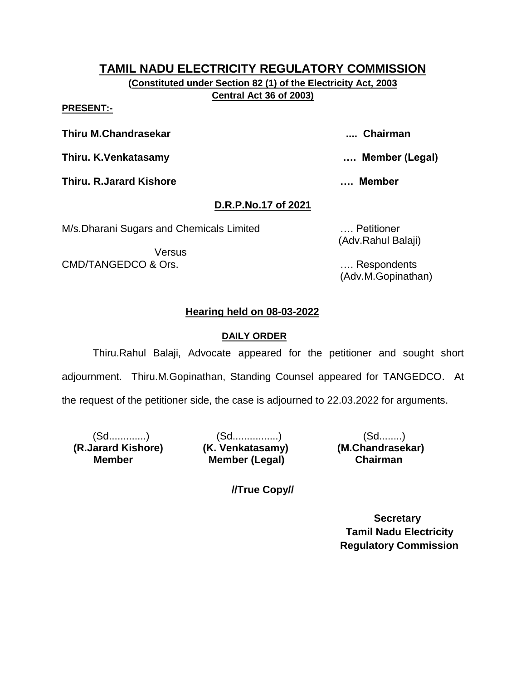**(Constituted under Section 82 (1) of the Electricity Act, 2003 Central Act 36 of 2003)**

#### **PRESENT:-**

**Thiru M.Chandrasekar .... Chairman**

**Thiru. K.Venkatasamy …. Member (Legal)**

**Thiru. R.Jarard Kishore …. Member** 

# **D.R.P.No.17 of 2021**

M/s.Dharani Sugars and Chemicals Limited …. Petitioner

**Versus** CMD/TANGEDCO & Ors. …. Respondents

(Adv.Rahul Balaji)

(Adv.M.Gopinathan)

# **Hearing held on 08-03-2022**

# **DAILY ORDER**

Thiru.Rahul Balaji, Advocate appeared for the petitioner and sought short adjournment. Thiru.M.Gopinathan, Standing Counsel appeared for TANGEDCO. At the request of the petitioner side, the case is adjourned to 22.03.2022 for arguments.

 **(R.Jarard Kishore) (K. Venkatasamy) (M.Chandrasekar) Member** 

(Sd.............) (Sd................) (Sd........) **Member (Legal) Chairman** 

**//True Copy//**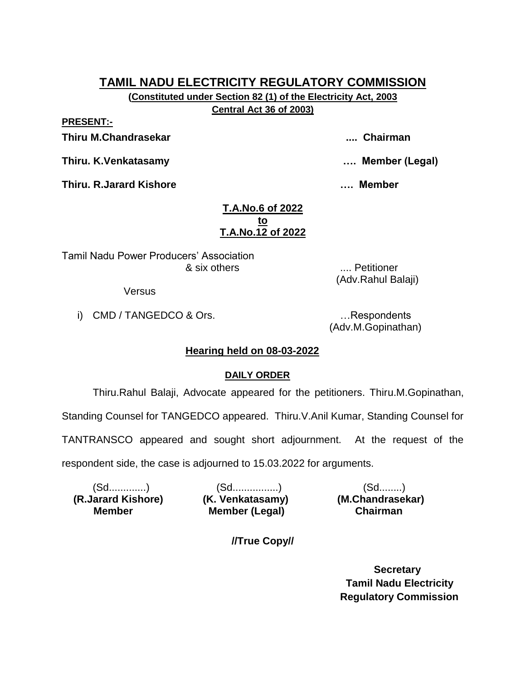**(Constituted under Section 82 (1) of the Electricity Act, 2003**

**Central Act 36 of 2003)**

**PRESENT:-**

**Thiru M.Chandrasekar .... Chairman**

**Thiru. K.Venkatasamy …. Member (Legal)**

**Thiru. R.Jarard Kishore …. Member** 

### **T.A.No.6 of 2022 to T.A.No.12 of 2022**

Tamil Nadu Power Producers' Association & six others .... Petitioner

Versus

i) CMD / TANGEDCO & Ors. **Example 20** in the second control of the second control of the second control of the second control of the second control of the second control of the second control of the second control of the s

(Adv.M.Gopinathan)

(Adv.Rahul Balaji)

# **Hearing held on 08-03-2022**

# **DAILY ORDER**

Thiru.Rahul Balaji, Advocate appeared for the petitioners. Thiru.M.Gopinathan,

Standing Counsel for TANGEDCO appeared. Thiru.V.Anil Kumar, Standing Counsel for

TANTRANSCO appeared and sought short adjournment. At the request of the

respondent side, the case is adjourned to 15.03.2022 for arguments.

 **(R.Jarard Kishore) (K. Venkatasamy) (M.Chandrasekar) Member** 

(Sd.............) (Sd................) (Sd........) **Member (Legal) Chairman** 

**//True Copy//**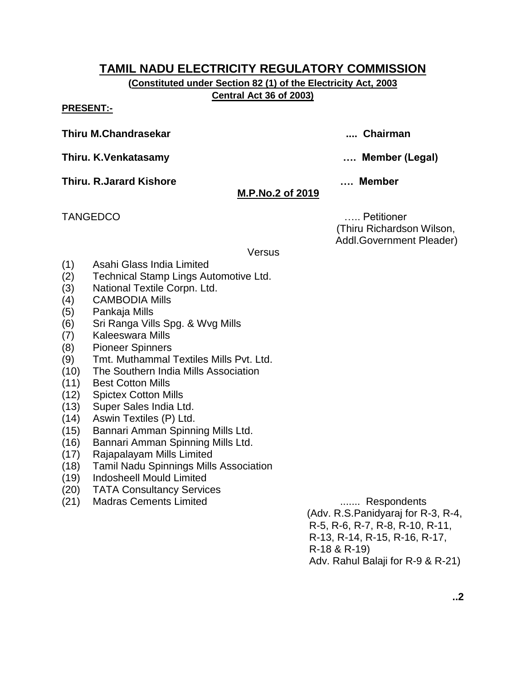**(Constituted under Section 82 (1) of the Electricity Act, 2003 Central Act 36 of 2003)**

**PRESENT:-**

**Thiru M.Chandrasekar .... Chairman**

**Thiru. K.Venkatasamy …. Member (Legal)**

**Thiru. R.Jarard Kishore …. Member** 

# **M.P.No.2 of 2019**

TANGEDCO ….. Petitioner (Thiru Richardson Wilson, Addl.Government Pleader)

**Versus** 

- (1) Asahi Glass India Limited
- (2) Technical Stamp Lings Automotive Ltd.
- (3) National Textile Corpn. Ltd.
- (4) CAMBODIA Mills
- (5) Pankaja Mills
- (6) Sri Ranga Vills Spg. & Wvg Mills
- (7) Kaleeswara Mills
- (8) Pioneer Spinners
- (9) Tmt. Muthammal Textiles Mills Pvt. Ltd.
- (10) The Southern India Mills Association
- (11) Best Cotton Mills
- (12) Spictex Cotton Mills
- (13) Super Sales India Ltd.
- (14) Aswin Textiles (P) Ltd.
- (15) Bannari Amman Spinning Mills Ltd.
- (16) Bannari Amman Spinning Mills Ltd.
- (17) Rajapalayam Mills Limited
- (18) Tamil Nadu Spinnings Mills Association
- (19) Indosheell Mould Limited
- (20) TATA Consultancy Services
- (21) Madras Cements Limited ....... Respondents

 (Adv. R.S.Panidyaraj for R-3, R-4, R-5, R-6, R-7, R-8, R-10, R-11, R-13, R-14, R-15, R-16, R-17, R-18 & R-19) Adv. Rahul Balaji for R-9 & R-21)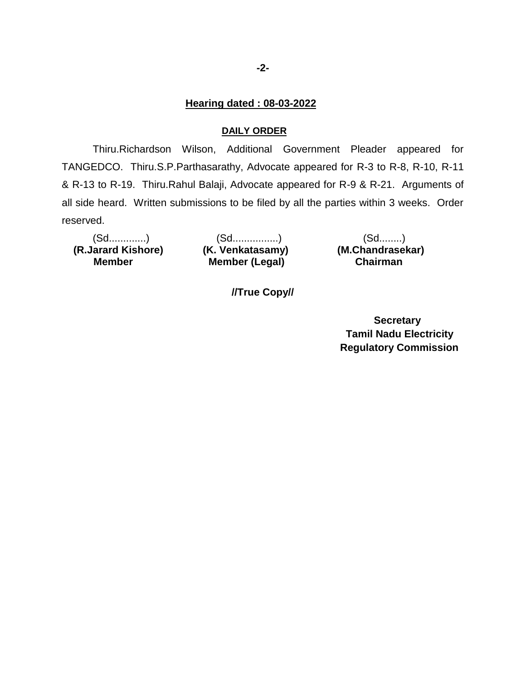#### **Hearing dated : 08-03-2022**

#### **DAILY ORDER**

Thiru.Richardson Wilson, Additional Government Pleader appeared for TANGEDCO. Thiru.S.P.Parthasarathy, Advocate appeared for R-3 to R-8, R-10, R-11 & R-13 to R-19. Thiru.Rahul Balaji, Advocate appeared for R-9 & R-21. Arguments of all side heard. Written submissions to be filed by all the parties within 3 weeks. Order reserved.

 **(R.Jarard Kishore) (K. Venkatasamy) (M.Chandrasekar) Member** 

(Sd.............) (Sd................) (Sd........) **Member (Legal) Chairman** 

**//True Copy//**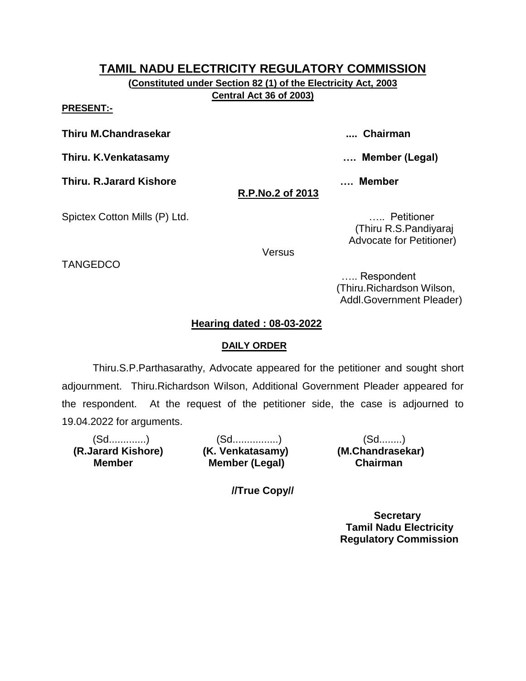**(Constituted under Section 82 (1) of the Electricity Act, 2003 Central Act 36 of 2003)**

#### **PRESENT:-**

**Thiru M.Chandrasekar .... Chairman**

**Thiru. K.Venkatasamy …. Member (Legal)**

**Thiru. R.Jarard Kishore …. Member** 

# **R.P.No.2 of 2013**

Spictex Cotton Mills (P) Ltd. **Example 20 and Spictex Cotton Mills** (P) Ltd.

 (Thiru R.S.Pandiyaraj Advocate for Petitioner)

**Versus** 

TANGEDCO

 ….. Respondent (Thiru.Richardson Wilson, Addl.Government Pleader)

## **Hearing dated : 08-03-2022**

## **DAILY ORDER**

Thiru.S.P.Parthasarathy, Advocate appeared for the petitioner and sought short adjournment. Thiru.Richardson Wilson, Additional Government Pleader appeared for the respondent. At the request of the petitioner side, the case is adjourned to 19.04.2022 for arguments.

 **(R.Jarard Kishore) (K. Venkatasamy) (M.Chandrasekar) Member** 

(Sd.............) (Sd................) (Sd........) **Member (Legal) Chairman** 

**//True Copy//**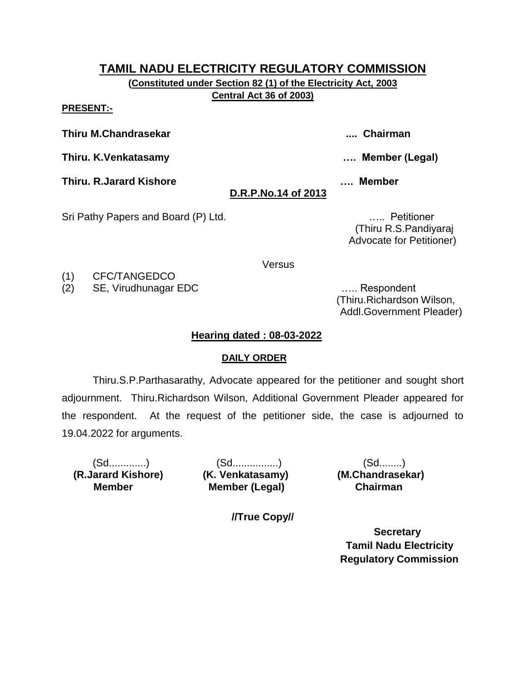**(Constituted under Section 82 (1) of the Electricity Act, 2003 Central Act 36 of 2003)**

**PRESENT:-**

**Thiru M.Chandrasekar .... Chairman**

**Thiru. K.Venkatasamy …. Member (Legal)**

**Thiru. R.Jarard Kishore …. Member** 

# **D.R.P.No.14 of 2013**

Sri Pathy Papers and Board (P) Ltd. **Example 20** Mathematic entries and the set of the set of the set of the set of the set of the set of the set of the set of the set of the set of the set of the set of the set of the set

 (Thiru R.S.Pandiyaraj Advocate for Petitioner)

**Versus** 

(1) CFC/TANGEDCO

(2) SE, Virudhunagar EDC ….. Respondent

 (Thiru.Richardson Wilson, Addl.Government Pleader)

# **Hearing dated : 08-03-2022**

## **DAILY ORDER**

Thiru.S.P.Parthasarathy, Advocate appeared for the petitioner and sought short adjournment. Thiru.Richardson Wilson, Additional Government Pleader appeared for the respondent. At the request of the petitioner side, the case is adjourned to 19.04.2022 for arguments.

 **(R.Jarard Kishore) (K. Venkatasamy) (M.Chandrasekar) Member** 

(Sd.............) (Sd................) (Sd........) **Member (Legal) Chairman** 

**//True Copy//**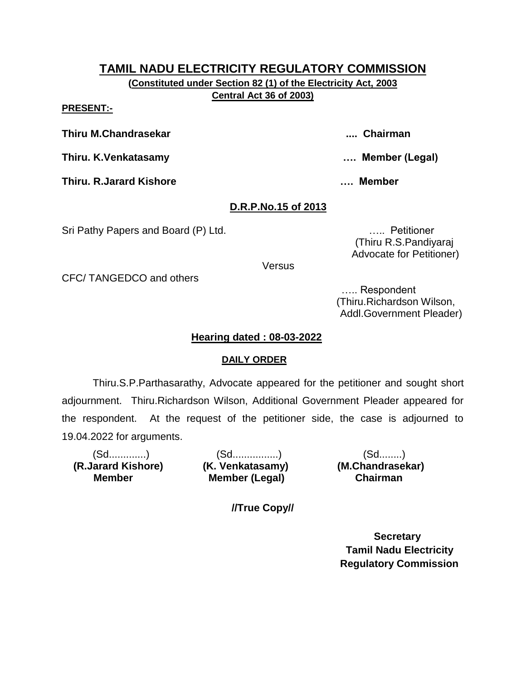**(Constituted under Section 82 (1) of the Electricity Act, 2003 Central Act 36 of 2003)**

#### **PRESENT:-**

**Thiru M.Chandrasekar .... Chairman**

**Thiru. K.Venkatasamy …. Member (Legal)**

**Thiru. R.Jarard Kishore …. Member** 

## **D.R.P.No.15 of 2013**

Sri Pathy Papers and Board (P) Ltd. **Example 20** Mathematic entries and the set of the set of the set of the set of the set of the set of the set of the set of the set of the set of the set of the set of the set of the set

 (Thiru R.S.Pandiyaraj Advocate for Petitioner)

**Versus** 

CFC/ TANGEDCO and others

 ….. Respondent (Thiru.Richardson Wilson, Addl.Government Pleader)

### **Hearing dated : 08-03-2022**

### **DAILY ORDER**

Thiru.S.P.Parthasarathy, Advocate appeared for the petitioner and sought short adjournment. Thiru.Richardson Wilson, Additional Government Pleader appeared for the respondent. At the request of the petitioner side, the case is adjourned to 19.04.2022 for arguments.

 **(R.Jarard Kishore) (K. Venkatasamy) (M.Chandrasekar) Member** 

(Sd.............) (Sd................) (Sd........) **Member (Legal) Chairman** 

**//True Copy//**